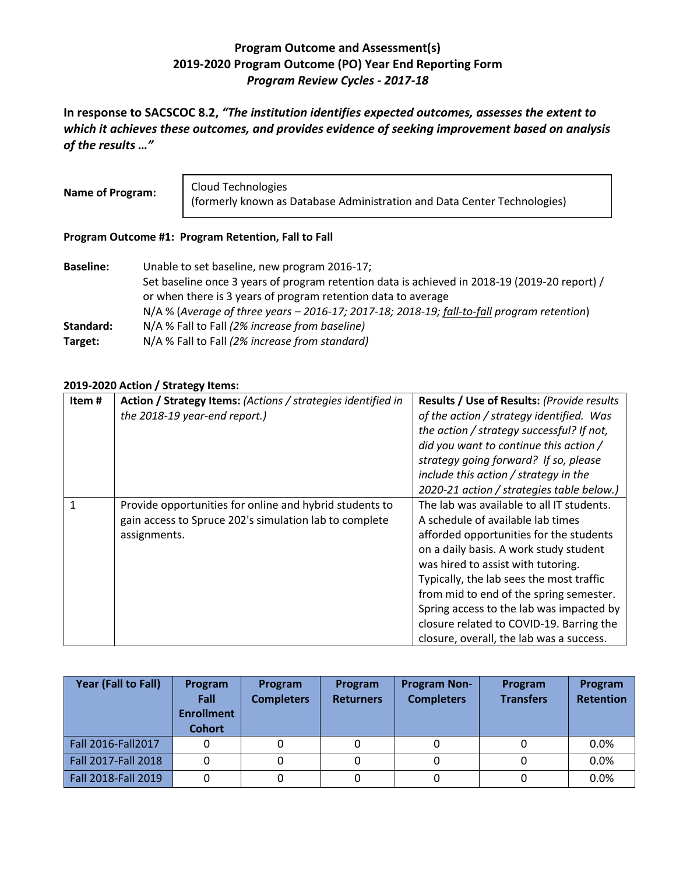## **Program Outcome and Assessment(s) 2019-2020 Program Outcome (PO) Year End Reporting Form** *Program Review Cycles - 2017-18*

**In response to SACSCOC 8.2,** *"The institution identifies expected outcomes, assesses the extent to which it achieves these outcomes, and provides evidence of seeking improvement based on analysis of the results …"*

**Name of Program:** Cloud Technologies (formerly known as Database Administration and Data Center Technologies)

## **Program Outcome #1: Program Retention, Fall to Fall**

| <b>Baseline:</b> | Unable to set baseline, new program 2016-17;                                                  |
|------------------|-----------------------------------------------------------------------------------------------|
|                  | Set baseline once 3 years of program retention data is achieved in 2018-19 (2019-20 report) / |
|                  | or when there is 3 years of program retention data to average                                 |
|                  | N/A % (Average of three years - 2016-17; 2017-18; 2018-19; fall-to-fall program retention)    |
| Standard:        | N/A % Fall to Fall (2% increase from baseline)                                                |
| Target:          | N/A % Fall to Fall (2% increase from standard)                                                |

## **2019-2020 Action / Strategy Items:**

| Item# | Action / Strategy Items: (Actions / strategies identified in | Results / Use of Results: (Provide results |
|-------|--------------------------------------------------------------|--------------------------------------------|
|       | the 2018-19 year-end report.)                                | of the action / strategy identified. Was   |
|       |                                                              | the action / strategy successful? If not,  |
|       |                                                              | did you want to continue this action /     |
|       |                                                              | strategy going forward? If so, please      |
|       |                                                              | include this action / strategy in the      |
|       |                                                              | 2020-21 action / strategies table below.)  |
|       | Provide opportunities for online and hybrid students to      | The lab was available to all IT students.  |
|       | gain access to Spruce 202's simulation lab to complete       | A schedule of available lab times          |
|       | assignments.                                                 | afforded opportunities for the students    |
|       |                                                              | on a daily basis. A work study student     |
|       |                                                              | was hired to assist with tutoring.         |
|       |                                                              | Typically, the lab sees the most traffic   |
|       |                                                              | from mid to end of the spring semester.    |
|       |                                                              | Spring access to the lab was impacted by   |
|       |                                                              | closure related to COVID-19. Barring the   |
|       |                                                              | closure, overall, the lab was a success.   |

| Year (Fall to Fall) | Program<br>Fall<br><b>Enrollment</b><br><b>Cohort</b> | Program<br><b>Completers</b> | Program<br><b>Returners</b> | <b>Program Non-</b><br><b>Completers</b> | Program<br><b>Transfers</b> | Program<br><b>Retention</b> |
|---------------------|-------------------------------------------------------|------------------------------|-----------------------------|------------------------------------------|-----------------------------|-----------------------------|
| Fall 2016-Fall 2017 | 0                                                     |                              |                             |                                          |                             | 0.0%                        |
| Fall 2017-Fall 2018 | 0                                                     |                              |                             |                                          |                             | 0.0%                        |
| Fall 2018-Fall 2019 | 0                                                     |                              |                             |                                          |                             | 0.0%                        |